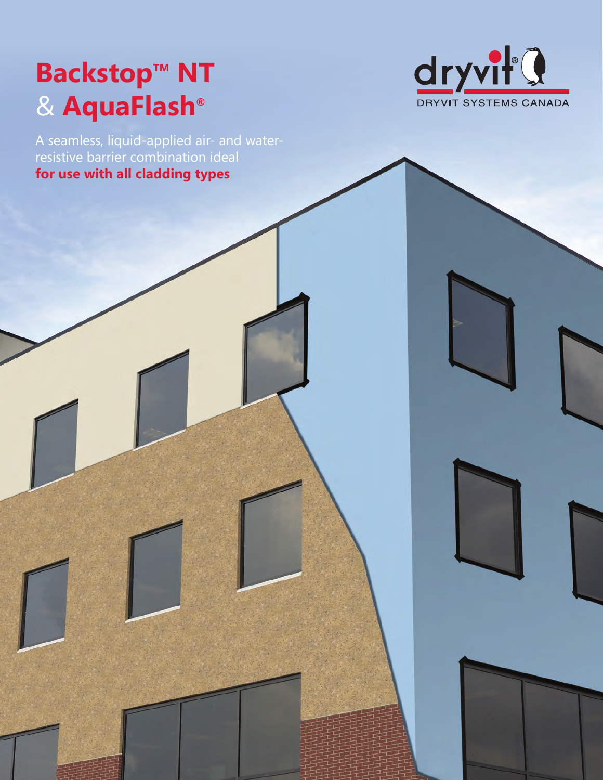# **Backstop<sup>™</sup> NT** & **AquaFlash®**



A seamless, liquid-applied air- and waterresistive barrier combination ideal **for use with all cladding types**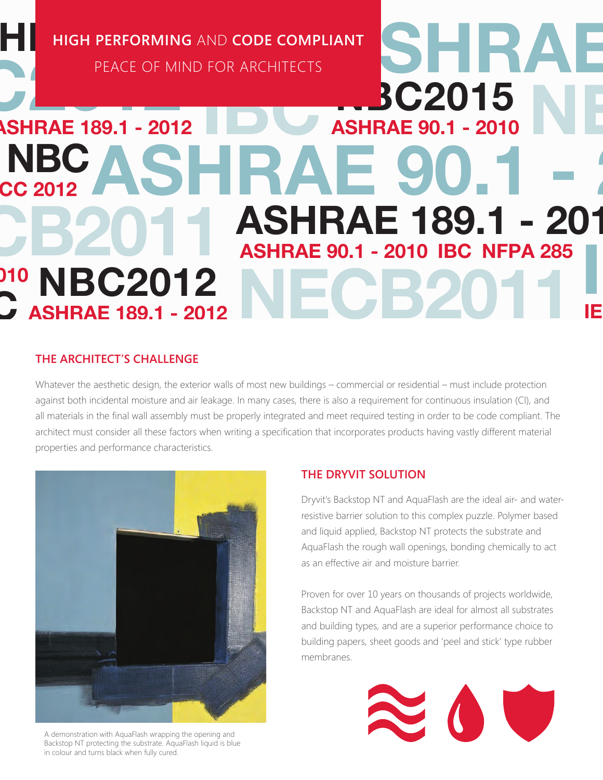HIGH PERFORMING AND CODE COMPLIANT **AND THE READER OF MIND FOR ARCHITECTS High Performing** and **Code Compliant**

PEACE OF MIND FOR ARCHITECTS

### **ASHRAE 90.1 - 2010 BC2015** PEACE OF MI **ASHRAE 189.1 - 2012** NBC ASHRAE 90.1 -C 2012 ASHRAE 189.1 - 201 NECB2011 ASHRAE 90.1 - 2010 IBC NFPA 285 **BC2012** ASHRAE 189.1 - 2012  $\overline{a}$ IE 010 **C**

### **The architect's challenge**

Whatever the aesthetic design, the exterior walls of most new buildings – commercial or residential – must include protection against both incidental moisture and air leakage. In many cases, there is also a requirement for continuous insulation (CI), and all materials in the final wall assembly must be properly integrated and meet required testing in order to be code compliant. The architect must consider all these factors when writing a specification that incorporates products having vastly different material properties and performance characteristics.



A demonstration with AquaFlash wrapping the opening and Backstop NT protecting the substrate. AquaFlash liquid is blue in colour and turns black when fully cured.

### **The Dryvit solution**

Dryvit's Backstop NT and AquaFlash are the ideal air- and waterresistive barrier solution to this complex puzzle. Polymer based and liquid applied, Backstop NT protects the substrate and AquaFlash the rough wall openings, bonding chemically to act as an effective air and moisture barrier.

Proven for over 10 years on thousands of projects worldwide, Backstop NT and AquaFlash are ideal for almost all substrates and building types, and are a superior performance choice to building papers, sheet goods and 'peel and stick' type rubber membranes.

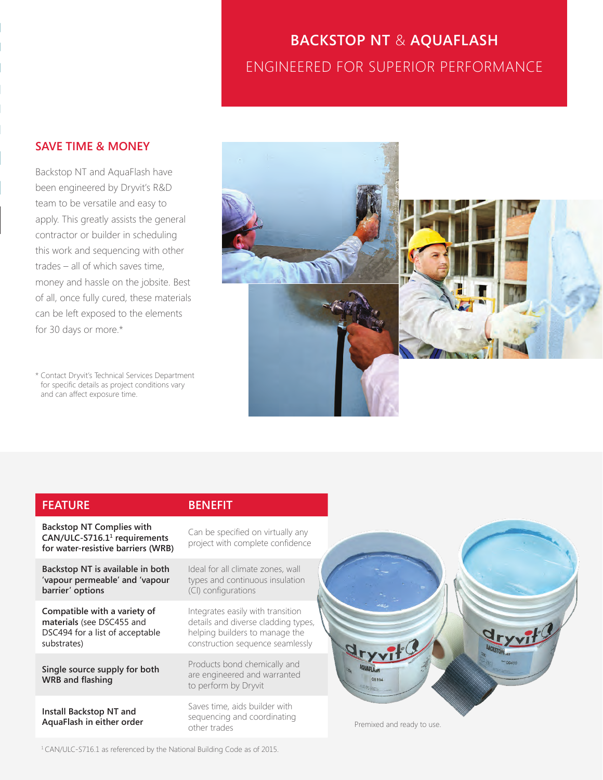## BACKSTOP NT & AC<br>ENGINEERED FOR SUPERIC **BACKSTOP NT** & **AquaFlash** Engineered for superior performance

### **SAVE TIME & MONEY**

**SAVE TIME & MONEY**<br>Backstop NT and AquaFlash<br>been engineered by Dryvit's<br>team to be versatile and ea team to b<br>apply. This<br>contractor this work and set<br>trades – all of w<br>money and has:<br>of all, once fully can be left exposed to the elements Backstop NT and AquaFlash have been engineered by Dryvit's R&D team to be versatile and easy to apply. This greatly assists the general contractor or builder in scheduling this work and sequencing with other trades – all of which saves time, money and hassle on the jobsite. Best of all, once fully cured, these materials for 30 days or more.\*

> \* Contact Dryvit's Technical Services Department for specific details as project conditions vary and can affect exposure time.



| <b>FEATURE</b>                                                                                                     | <b>BENEFIT</b>                                                                                                                                 |
|--------------------------------------------------------------------------------------------------------------------|------------------------------------------------------------------------------------------------------------------------------------------------|
| <b>Backstop NT Complies with</b><br>CAN/ULC-S716.1 <sup>1</sup> requirements<br>for water-resistive barriers (WRB) | Can be specified on virtually any<br>project with complete confidence                                                                          |
| Backstop NT is available in both<br>'vapour permeable' and 'vapour<br>barrier' options                             | Ideal for all climate zones, wall<br>types and continuous insulation<br>(CI) configurations                                                    |
| Compatible with a variety of<br>materials (see DSC455 and<br>DSC494 for a list of acceptable<br>substrates)        | Integrates easily with transition<br>details and diverse cladding types,<br>helping builders to manage the<br>construction sequence seamlessly |
| Single source supply for both<br><b>WRB</b> and flashing                                                           | Products bond chemically and<br>are engineered and warranted<br>to perform by Dryvit                                                           |
| Install Backstop NT and<br>AquaFlash in either order                                                               | Saves time, aids builder with<br>sequencing and coordinating<br>other trades                                                                   |

1 CAN/ULC-S716.1 as referenced by the National Building Code as of 2015.